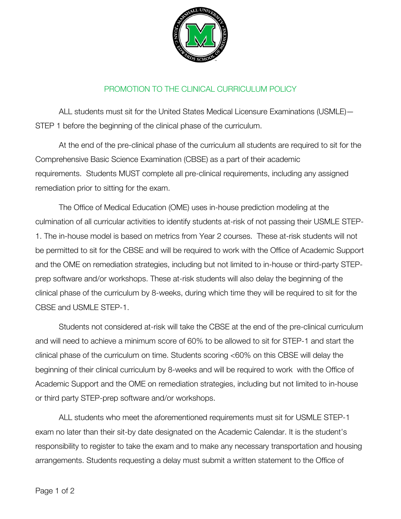

## PROMOTION TO THE CLINICAL CURRICULUM POLICY

ALL students must sit for the United States Medical Licensure Examinations (USMLE)— STEP 1 before the beginning of the clinical phase of the curriculum.

At the end of the pre-clinical phase of the curriculum all students are required to sit for the Comprehensive Basic Science Examination (CBSE) as a part of their academic requirements. Students MUST complete all pre-clinical requirements, including any assigned remediation prior to sitting for the exam.

The Office of Medical Education (OME) uses in-house prediction modeling at the culmination of all curricular activities to identify students at-risk of not passing their USMLE STEP-1. The in-house model is based on metrics from Year 2 courses. These at-risk students will not be permitted to sit for the CBSE and will be required to work with the Office of Academic Support and the OME on remediation strategies, including but not limited to in-house or third-party STEPprep software and/or workshops. These at-risk students will also delay the beginning of the clinical phase of the curriculum by 8-weeks, during which time they will be required to sit for the CBSE and USMLE STEP-1.

Students not considered at-risk will take the CBSE at the end of the pre-clinical curriculum and will need to achieve a minimum score of 60% to be allowed to sit for STEP-1 and start the clinical phase of the curriculum on time. Students scoring <60% on this CBSE will delay the beginning of their clinical curriculum by 8-weeks and will be required to work with the Office of Academic Support and the OME on remediation strategies, including but not limited to in-house or third party STEP-prep software and/or workshops.

ALL students who meet the aforementioned requirements must sit for USMLE STEP-1 exam no later than their sit-by date designated on the Academic Calendar. It is the student's responsibility to register to take the exam and to make any necessary transportation and housing arrangements. Students requesting a delay must submit a written statement to the Office of